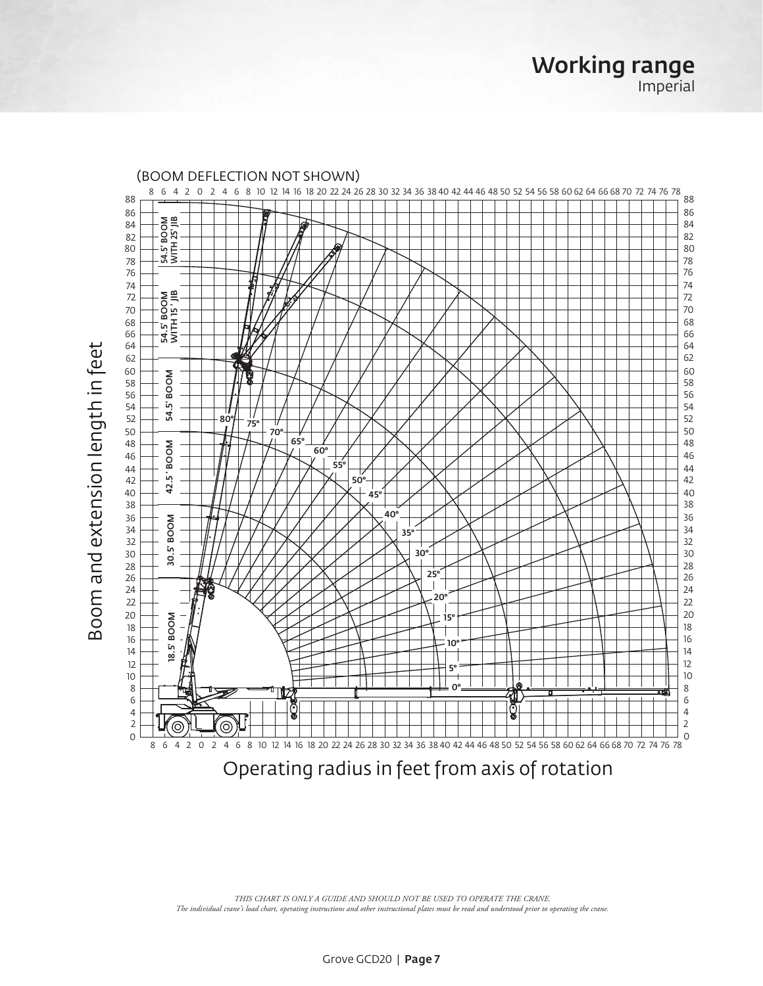8 6 4 2 0 2 4 6 8 10 12 14 16 18 20 22 24 26 28 30 32 34 36 38 40 42 44 46 48 50 52 54 56 58 60 62 64 66 68 70 72 74 76 78 S4.5' BOOM<br>WITH 25' JIB 54.5' BOOM WITH 25' JIB 54.5' BOOM<br>WITH 15' JIB 54.5' BOOM WITH 15 ' JIB Σş. M | 54.5' BOO 54.5'  $80^{\circ}$   $^{+}_{75^{\circ}}$ ₩ 70° 65° **MOOR**  60° M | 42.5 BOO 55° 42.5 50° 45° 40° **NOON**  30.5' BOO 35° 30° 30. 25° 20° 15° ŠΕ 18.5' BOO 10° 5° Ta 0° ™ **EDIS** ಕಾ **Rela**   $^{\circledR}$ ⊚ уT 8 6 4 2 0 2 4 6 8 10 12 14 16 18 20 22 24 26 28 30 32 34 36 38 40 42 44 46 48 50 52 54 56 58 60 62 64 66 68 70 72 74 76 78

Working range

Imperial

Operating radius in feet from axis of rotation

*THIS CHART IS ONLY A GUIDE AND SHOULD NOT BE USED TO OPERATE THE CRANE. The individual crane's load chart, operating instructions and other instructional plates must be read and understood prior to operating the crane.*

Boom and extension length in feet Boom and extension length in feet

#### (BOOM DEFLECTION NOT SHOWN)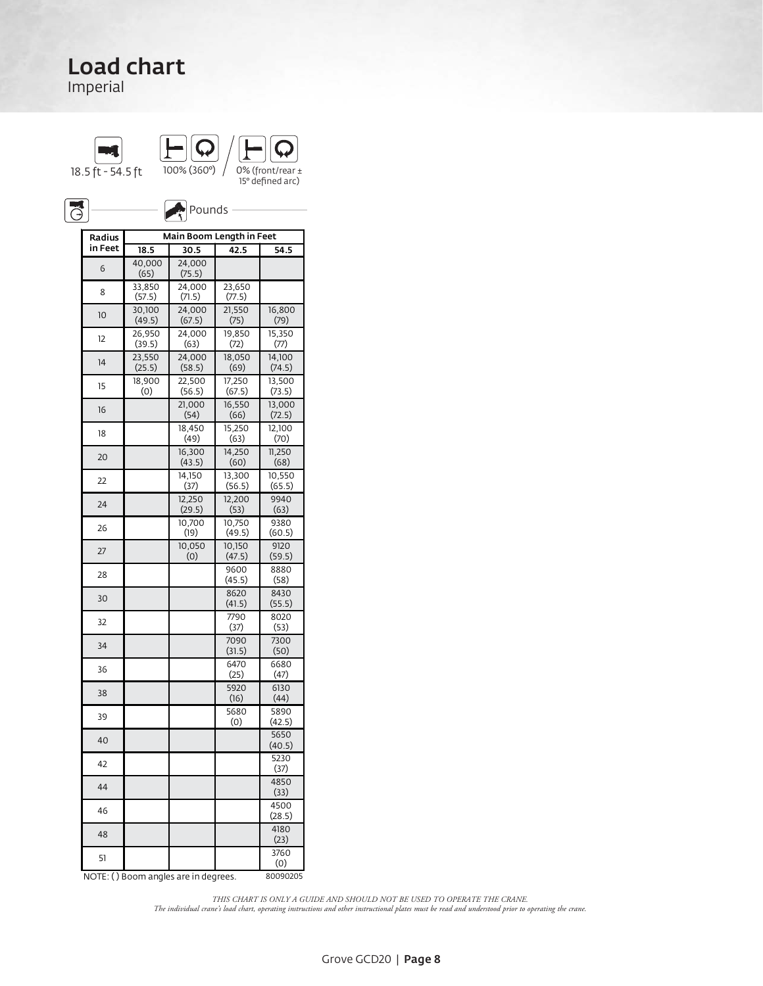Imperial





 $\bigotimes_{\mathbf{S}}$  Pounds -ON OUTRIGGERS FULLY RETRACTED OVER FRONT/REAR (± 15° defined arc)

| Radius  | Main Boom Length in Feet |                                      |                  |                  |  |  |  |  |
|---------|--------------------------|--------------------------------------|------------------|------------------|--|--|--|--|
| in Feet | 18.5                     | 30.5                                 | 42.5             | 54.5             |  |  |  |  |
| 6       | 40,000<br>(65)           | 24,000<br>(75.5)                     |                  |                  |  |  |  |  |
| 8       | 33,850<br>(57.5)         | 24,000<br>(71.5)                     | 23,650<br>(77.5) |                  |  |  |  |  |
| 10      | 30,100<br>(49.5)         | 24,000<br>(67.5)                     | 21,550<br>(75)   | 16,800<br>(79)   |  |  |  |  |
| 12      | 26,950<br>(39.5)         | 24,000<br>(63)                       | 19,850<br>(72)   | 15,350<br>(77)   |  |  |  |  |
| 14      | 23.550<br>(25.5)         | 24,000<br>(58.5)                     | 18.050<br>(69)   | 14,100<br>(74.5) |  |  |  |  |
| 15      | 18,900<br>(0)            | 22,500<br>(56.5)                     | 17,250<br>(67.5) | 13,500<br>(73.5) |  |  |  |  |
| 16      |                          | 21,000<br>(54)                       | 16,550<br>(66)   | 13,000<br>(72.5) |  |  |  |  |
| 18      |                          | 18,450<br>(49)                       | 15,250<br>(63)   | 12,100<br>(70)   |  |  |  |  |
| 20      |                          | 16,300<br>(43.5)                     | 14,250<br>(60)   | 11,250<br>(68)   |  |  |  |  |
| 22      |                          | 14,150<br>(37)                       | 13,300<br>(56.5) | 10,550<br>(65.5) |  |  |  |  |
| 24      |                          | 12,250<br>(29.5)                     | 12,200<br>(53)   | 9940<br>(63)     |  |  |  |  |
| 26      |                          | 10,700<br>(19)                       | 10,750<br>(49.5) | 9380<br>(60.5)   |  |  |  |  |
| 27      |                          | 10,050<br>(0)                        | 10,150<br>(47.5) | 9120<br>(59.5)   |  |  |  |  |
| 28      |                          |                                      | 9600<br>(45.5)   | 8880<br>(58)     |  |  |  |  |
| 30      |                          |                                      | 8620<br>(41.5)   | 8430<br>(55.5)   |  |  |  |  |
| 32      |                          |                                      | 7790<br>(37)     | 8020<br>(53)     |  |  |  |  |
| 34      |                          |                                      | 7090<br>(31.5)   | 7300<br>(50)     |  |  |  |  |
| 36      |                          |                                      | 6470<br>(25)     | 6680<br>(47)     |  |  |  |  |
| 38      |                          |                                      | 5920<br>(16)     | 6130<br>(44)     |  |  |  |  |
| 39      |                          |                                      | 5680<br>(0)      | 5890<br>(42.5)   |  |  |  |  |
| 40      |                          |                                      |                  | 5650<br>(40.5)   |  |  |  |  |
| 42      |                          |                                      |                  | 5230<br>(37)     |  |  |  |  |
| 44      |                          |                                      |                  | 4850<br>(33)     |  |  |  |  |
| 46      |                          |                                      |                  | 4500<br>(28.5)   |  |  |  |  |
| 48      |                          |                                      |                  | 4180<br>(23)     |  |  |  |  |
| 51      |                          |                                      |                  | 3760<br>(0)      |  |  |  |  |
|         |                          | NOTE: () Boom angles are in degrees. |                  | 80090205         |  |  |  |  |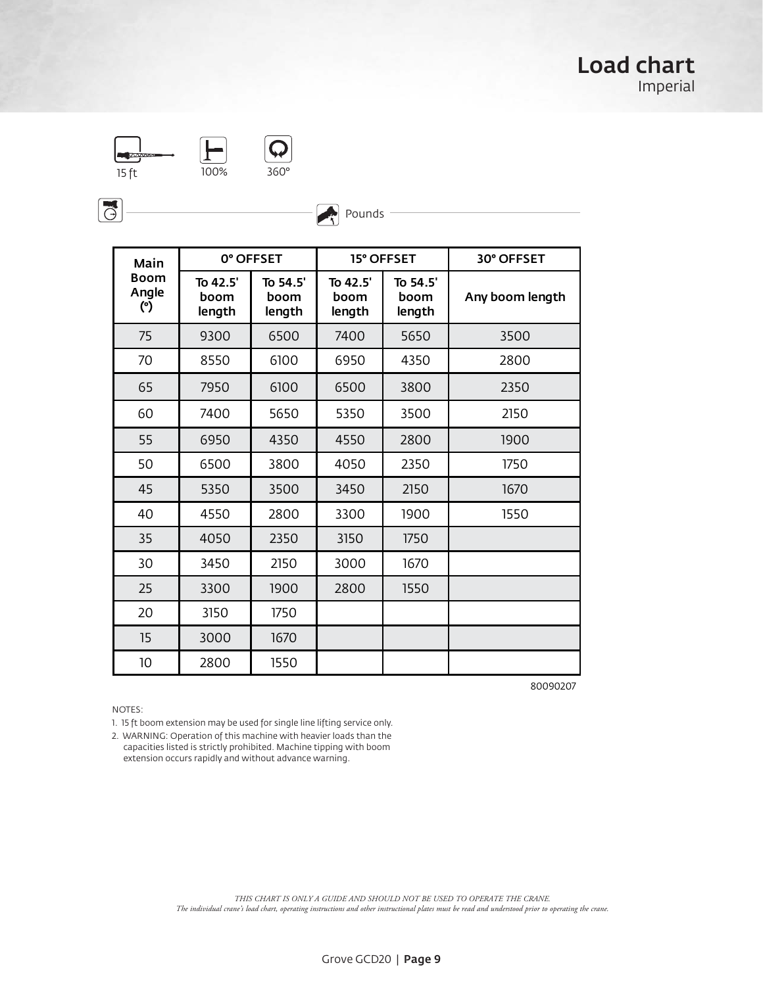

 $-1$  FOR  $\mathcal{Q}$  for  $\mathcal{Q}$  for  $\mathcal{Q}$  for  $\mathcal{Q}$  for  $\mathcal{Q}$  for  $\mathcal{Q}$  for  $\mathcal{Q}$  for  $\mathcal{Q}$  for  $\mathcal{Q}$  for  $\mathcal{Q}$  for  $\mathcal{Q}$  for  $\mathcal{Q}$  for  $\mathcal{Q}$  for  $\mathcal{Q}$  for  $\mathcal{Q}$  for  $\mathcal{Q}$  for  $\mathcal$  $\overline{O\%}$  360°

 $\overline{G}$ 

| Main                        | 0° OFFSET                  |                            |                            | 15° OFFSET                 | 30° OFFSET      |
|-----------------------------|----------------------------|----------------------------|----------------------------|----------------------------|-----------------|
| <b>Boom</b><br>Angle<br>(°) | To 42.5'<br>boom<br>length | To 54.5'<br>boom<br>length | To 42.5'<br>boom<br>length | To 54.5'<br>boom<br>length | Any boom length |
| 75                          | 9300                       | 6500                       | 7400                       | 5650                       | 3500            |
| 70                          | 8550                       | 6100                       | 6950                       | 4350                       | 2800            |
| 65                          | 7950                       | 6100                       | 6500                       | 3800                       | 2350            |
| 60                          | 7400                       | 5650                       | 5350                       | 3500                       | 2150            |
| 55                          | 6950                       | 4350                       | 4550                       | 2800                       | 1900            |
| 50                          | 6500                       | 3800                       | 4050                       | 2350                       | 1750            |
| 45                          | 5350                       | 3500                       | 3450                       | 2150                       | 1670            |
| 40                          | 4550                       | 2800                       | 3300                       | 1900                       | 1550            |
| 35                          | 4050                       | 2350                       | 3150                       | 1750                       |                 |
| 30                          | 3450                       | 2150                       | 3000                       | 1670                       |                 |
| 25                          | 3300                       | 1900                       | 2800                       | 1550                       |                 |
| 20                          | 3150                       | 1750                       |                            |                            |                 |
| 15                          | 3000                       | 1670                       |                            |                            |                 |
| 10                          | 2800                       | 1550                       |                            |                            |                 |

Pounds

80090207

NOTES:

1. 15 ft boom extension may be used for single line lifting service only.

2. WARNING: Operation of this machine with heavier loads than the capacities listed is strictly prohibited. Machine tipping with boom extension occurs rapidly and without advance warning.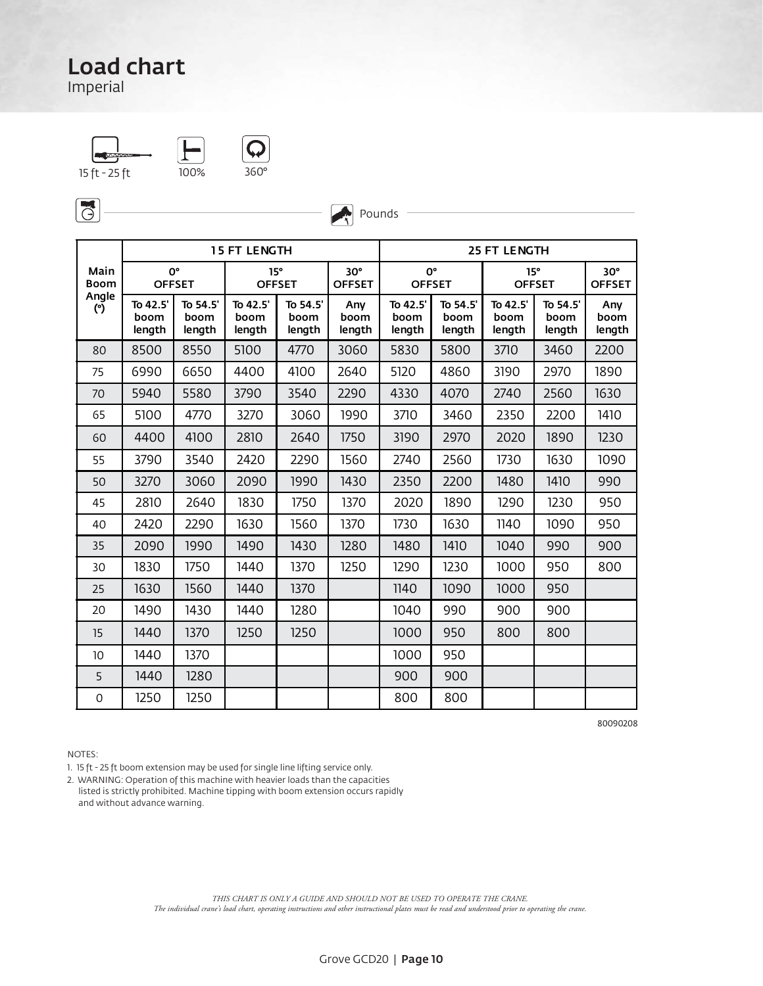Imperial

15 ft - 25 ft 100% 360



 $\sqrt{6}$ 

|                     | <b>15 FT LENGTH</b>       |                            |                            |                            |                             |                            |                            | <b>25 FT LENGTH</b>        |                            |                             |
|---------------------|---------------------------|----------------------------|----------------------------|----------------------------|-----------------------------|----------------------------|----------------------------|----------------------------|----------------------------|-----------------------------|
| Main<br><b>Boom</b> |                           | 0°<br><b>OFFSET</b>        | 15°                        | <b>OFFSET</b>              | $30^\circ$<br><b>OFFSET</b> |                            | 0°<br><b>OFFSET</b>        | 15°                        | <b>OFFSET</b>              | $30^\circ$<br><b>OFFSET</b> |
| Angle<br>(°)        | To 42.5<br>boom<br>length | To 54.5'<br>boom<br>length | To 42.5'<br>boom<br>length | To 54.5'<br>boom<br>length | Any<br>boom<br>length       | To 42.5'<br>boom<br>length | To 54.5'<br>boom<br>length | To 42.5'<br>boom<br>length | To 54.5'<br>boom<br>length | Any<br>boom<br>length       |
| 80                  | 8500                      | 8550                       | 5100                       | 4770                       | 3060                        | 5830                       | 5800                       | 3710                       | 3460                       | 2200                        |
| 75                  | 6990                      | 6650                       | 4400                       | 4100                       | 2640                        | 5120                       | 4860                       | 3190                       | 2970                       | 1890                        |
| 70                  | 5940                      | 5580                       | 3790                       | 3540                       | 2290                        | 4330                       | 4070                       | 2740                       | 2560                       | 1630                        |
| 65                  | 5100                      | 4770                       | 3270                       | 3060                       | 1990                        | 3710                       | 3460                       | 2350                       | 2200                       | 1410                        |
| 60                  | 4400                      | 4100                       | 2810                       | 2640                       | 1750                        | 3190                       | 2970                       | 2020                       | 1890                       | 1230                        |
| 55                  | 3790                      | 3540                       | 2420                       | 2290                       | 1560                        | 2740                       | 2560                       | 1730                       | 1630                       | 1090                        |
| 50                  | 3270                      | 3060                       | 2090                       | 1990                       | 1430                        | 2350                       | 2200                       | 1480                       | 1410                       | 990                         |
| 45                  | 2810                      | 2640                       | 1830                       | 1750                       | 1370                        | 2020                       | 1890                       | 1290                       | 1230                       | 950                         |
| 40                  | 2420                      | 2290                       | 1630                       | 1560                       | 1370                        | 1730                       | 1630                       | 1140                       | 1090                       | 950                         |
| 35                  | 2090                      | 1990                       | 1490                       | 1430                       | 1280                        | 1480                       | 1410                       | 1040                       | 990                        | 900                         |
| 30                  | 1830                      | 1750                       | 1440                       | 1370                       | 1250                        | 1290                       | 1230                       | 1000                       | 950                        | 800                         |
| 25                  | 1630                      | 1560                       | 1440                       | 1370                       |                             | 1140                       | 1090                       | 1000                       | 950                        |                             |
| 20                  | 1490                      | 1430                       | 1440                       | 1280                       |                             | 1040                       | 990                        | 900                        | 900                        |                             |
| 15                  | 1440                      | 1370                       | 1250                       | 1250                       |                             | 1000                       | 950                        | 800                        | 800                        |                             |
| 10                  | 1440                      | 1370                       |                            |                            |                             | 1000                       | 950                        |                            |                            |                             |
| 5                   | 1440                      | 1280                       |                            |                            |                             | 900                        | 900                        |                            |                            |                             |
| $\mathbf 0$         | 1250                      | 1250                       |                            |                            |                             | 800                        | 800                        |                            |                            |                             |

Pounds

80090208

NOTES:

1. 15 ft - 25 ft boom extension may be used for single line lifting service only.

2. WARNING: Operation of this machine with heavier loads than the capacities listed is strictly prohibited. Machine tipping with boom extension occurs rapidly and without advance warning.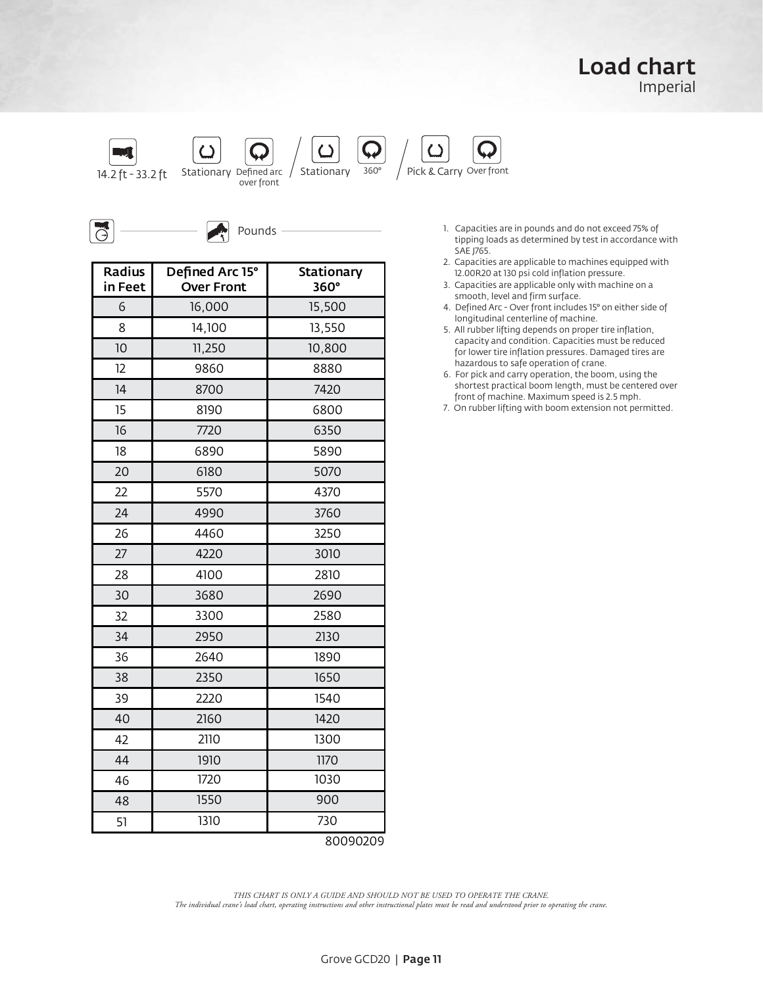#### Load chart Imperial



Pounds

| Radius<br>in Feet | Defined Arc 15°<br><b>Over Front</b> | Stationary<br>360° |
|-------------------|--------------------------------------|--------------------|
| 6                 | 16,000                               | 15,500             |
| 8                 | 14,100                               | 13,550             |
| 10                | 11,250                               | 10,800             |
| 12                | 9860                                 | 8880               |
| 14                | 8700                                 | 7420               |
| 15                | 8190                                 | 6800               |
| 16                | 7720                                 | 6350               |
| 18                | 6890                                 | 5890               |
| 20                | 6180                                 | 5070               |
| 22                | 5570                                 | 4370               |
| 24                | 4990                                 | 3760               |
| 26                | 4460                                 | 3250               |
| 27                | 4220                                 | 3010               |
| 28                | 4100                                 | 2810               |
| 30                | 3680                                 | 2690               |
| 32                | 3300                                 | 2580               |
| 34                | 2950                                 | 2130               |
| 36                | 2640                                 | 1890               |
| 38                | 2350                                 | 1650               |
| 39                | 2220                                 | 1540               |
| 40                | 2160                                 | 1420               |
| 42                | 2110                                 | 1300               |
| 44                | 1910                                 | 1170               |
| 46                | 1720                                 | 1030               |
| 48                | 1550                                 | 900                |
| 51                | 1310                                 | 730                |

1. Capacities are in pounds and do not exceed 75% of tipping loads as determined by test in accordance with SAE J765.  $\overline{a}$ 

- 2. Capacities are applicable to machines equipped with 12.00R20 at 130 psi cold inflation pressure.
- 3. Capacities are applicable only with machine on a smooth, level and firm surface.
- 4. Defined Arc Over front includes 15° on either side of longitudinal centerline of machine.
- 5. All rubber lifting depends on proper tire inflation, capacity and condition. Capacities must be reduced for lower tire inflation pressures. Damaged tires are hazardous to safe operation of crane.

6. For pick and carry operation, the boom, using the shortest practical boom length, must be centered over front of machine. Maximum speed is 2.5 mph.

7. On rubber lifting with boom extension not permitted.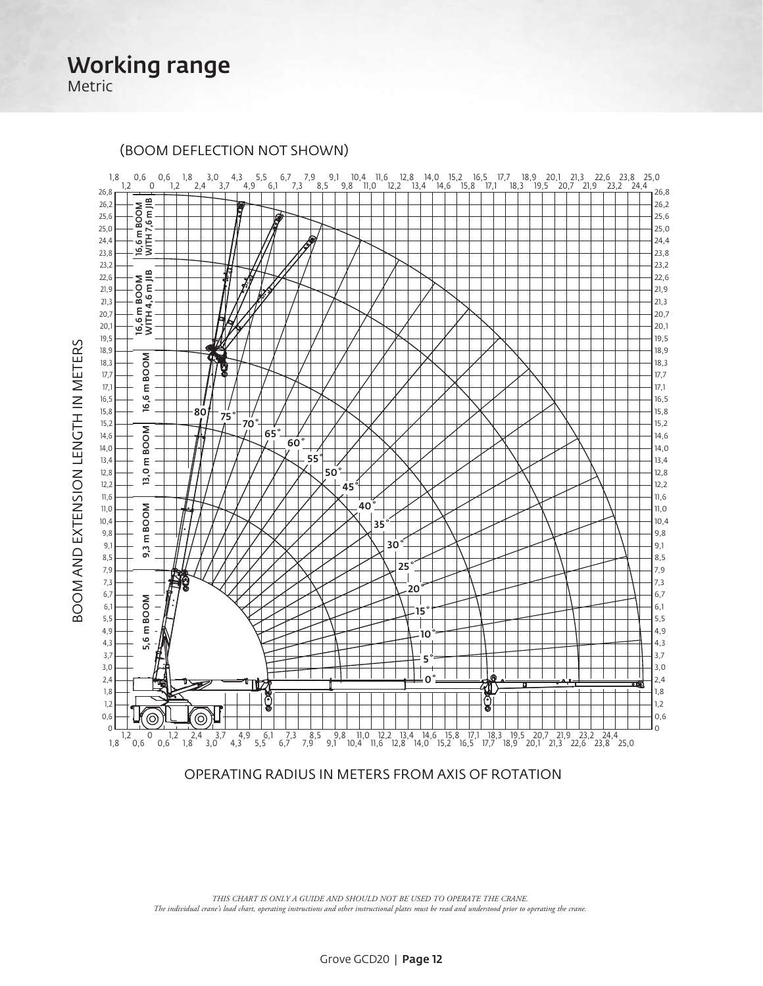Working range Metric

BOOM AND EXTENSION LENGTH IN METERS

BOOM AND EXTENSION LENGTH IN METERS

1,8 0,6 0,6 1,8 3,0 4,3 5,5 6,7 7,9 9,1 10,4 11,6 12,8 14,0 15,2 16,5 17,7 18,9 20,1 21,3 22,6 23,8 25,0<br>\_ 1,2 0 1,2 2,4 3,7 4,9 6,1 7,3 8,5 9,8 11,0 12,2 13,4 14,6 15,8 17,1 18,3 19,  $126,8$ 26,8  $5 \text{ m}$  BOOM<br>ITH 7,6 m JIB 26,2 26,2 WITH 7,6 m JIB m BOOM 25,6 25,6 25,0 25,0 24,4 24,4  $\overline{6}$ 16,6 m BOOM 16,6<br>M WITH 4,6 m JIB WITI ≷ َ⊴ 23,8 23,8 23,2 23,2 i 16,6 m BOOM<br>WITH 4,6 m JIB<br>WITH 4,6 m JIB 22,6 22,6 21,9 21,9 21,3 21,3  $20.7$ 20,7 20,1 20,1 19,5 19,5 18,9 18,9 **BOOM** 18,3 18,3 16,6 m BOO 17,7 17,7 17,1 E 17,1  $\overline{6}$ 16,5 16,5 ⊣  $80'$  75° 70 <u>َی</u> 15,8 15,8 15,2 15,2 m BOOM 65˚ 14,6 14,6 5,6 m BOOM 9,3 m BOOM 13,0 m BOO 60˚ 14,0 14,0 55˚ 13,4 13,4  $13,01$ 12,8 50˚ 12,8 12,2 12,2 45˚ 11,6 11,6 40˚ 11,0 **BOOM** 11,0 10,4 10,4 35˚ 9,8 9,8  $9,3 \text{ m}$ 9,1 30˚ 9,1 8,5 8,5 25˚ 7,9 7,9 鯵 7,3 7,3 20˚ 6,7 6,7 m BOOM  $\mathcal{L}$ 6,1 6,1 15˚ 5,5 5,5 4,9 4,9 10˚ 5,6 4,3 4,3 3,7 3,7 5˚ ╈ 3,0 3,0 0˚ 2,4 2,4 ₹Γ 1,8 1,8 ටෙ 1,2 1,2 ৯ இர 0,6  $\odot$ 0,6 ە ك  $\Omega$ 1,2 0 1,2 2,4 3,7 4,9 6,1 7,3 8,5 9,8 11,0 12,2 13,4 14,6 15,8 17,1 18,3 19,5 20,7 21,9 23,2 24,4 1,8 0,6 0,6 1,8 3,0 4,3 5,5 6,7 7,9 9,1 10,4 11,6 12,8 14,0 15,2 16,5 17,7 18,9 20,1 21,3 22,6 23,8 25,0

(BOOM DEFLECTION NOT SHOWN)

OPERATING RADIUS IN METERS FROM AXIS OF ROTATION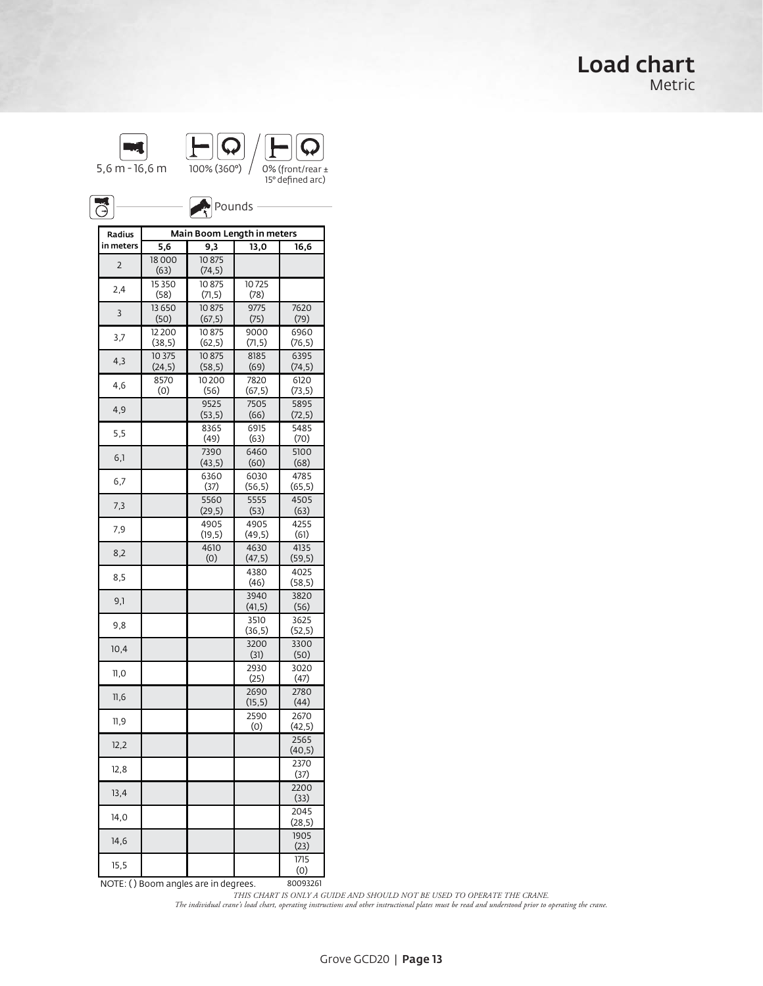### Load chart Metric

| $5.6 m - 16.6 m$ | 100% (360°) | 0% (front/rear $\pm$<br>15° defined arc) |
|------------------|-------------|------------------------------------------|

 $\Gamma$  outrigation over  $\Gamma$ 

| ि Pounds<br>∱<br>$\bigodot$ |                   |                            |                 |                          |  |  |  |  |
|-----------------------------|-------------------|----------------------------|-----------------|--------------------------|--|--|--|--|
| Radius                      |                   | Main Boom Length in meters |                 |                          |  |  |  |  |
| in meters                   | 5,6               | 9,3                        | 13,0            | 16,6                     |  |  |  |  |
| 2                           | 18000<br>(63)     | 10875<br>(74, 5)           |                 |                          |  |  |  |  |
| 2,4                         | 15 3 5 0<br>(58)  | 10875<br>(71, 5)           | 10725<br>(78)   |                          |  |  |  |  |
| 3                           | 13 650<br>(50)    | 10875<br>(67, 5)           | 9775<br>(75)    | 7620<br>(79)             |  |  |  |  |
| 3,7                         | 12200             | 10875                      | 9000            | 6960                     |  |  |  |  |
| 4,3                         | (38, 5)<br>10 375 | (62, 5)<br>10875           | (71, 5)<br>8185 | (76, 5)<br>6395          |  |  |  |  |
| 4,6                         | (24, 5)<br>8570   | (58, 5)<br>10200           | (69)<br>7820    | (74, 5)<br>6120          |  |  |  |  |
|                             | (0)               | (56)                       | (67, 5)         | (73, 5)                  |  |  |  |  |
| 4,9                         |                   | 9525<br>(53, 5)            | 7505<br>(66)    | 5895<br>(72, 5)          |  |  |  |  |
| 5,5                         |                   | 8365<br>(49)               | 6915<br>(63)    | 5485<br>(70)             |  |  |  |  |
| 6,1                         |                   | 7390<br>(43, 5)            | 6460<br>(60)    | 5100<br>(68)             |  |  |  |  |
| 6,7                         |                   | 6360<br>(37)               | 6030<br>(56, 5) | 4785<br>(65, 5)          |  |  |  |  |
| 7,3                         |                   | 5560<br>(29, 5)            | 5555<br>(53)    | 4505<br>(63)             |  |  |  |  |
| 7,9                         |                   | 4905<br>(19,5)             | 4905<br>(49, 5) | 4255<br>(61)             |  |  |  |  |
| 8,2                         |                   | 4610<br>(0)                | 4630<br>(47, 5) | 4135<br>(59, 5)          |  |  |  |  |
| 8,5                         |                   |                            | 4380<br>(46)    | 4025                     |  |  |  |  |
| 9,1                         |                   |                            | 3940            | (58, 5)<br>3820          |  |  |  |  |
|                             |                   |                            | (41, 5)         | (56)                     |  |  |  |  |
| 9,8                         |                   |                            | 3510<br>(36, 5) | 3625<br>(52, 5)          |  |  |  |  |
| 10,4                        |                   |                            | 3200<br>(31)    | 3300<br>(50)             |  |  |  |  |
| $\Pi, 0$                    |                   |                            | 2930<br>(25)    | 3020<br>(47)             |  |  |  |  |
| 11,6                        |                   |                            | 2690<br>(15, 5) | 2780<br>(44)             |  |  |  |  |
| 11,9                        |                   |                            | 2590<br>(0)     | 2670<br>(42, 5)          |  |  |  |  |
| 12,2                        |                   |                            |                 | 2565<br>(40, 5)          |  |  |  |  |
| 12,8                        |                   |                            |                 | 23/0<br>(37)             |  |  |  |  |
| 13,4                        |                   |                            |                 | 2200<br>(33)             |  |  |  |  |
| 14,0                        |                   |                            |                 | 2045<br>(28,5)           |  |  |  |  |
| 14,6                        |                   |                            |                 | 1905<br>(23)             |  |  |  |  |
| 15,5                        |                   |                            |                 | $\overline{1715}$<br>(0) |  |  |  |  |

NOTE: ( ) Boom angles are in degrees. 80093261 THIS CHART IS ONLY A GUIDE AND SHOULD NOT BE USED TO OPERATE THE CRANE.<br>The individual crane's load chart, operating instructions and other instructional plates must be read and understood prior to operating the crane.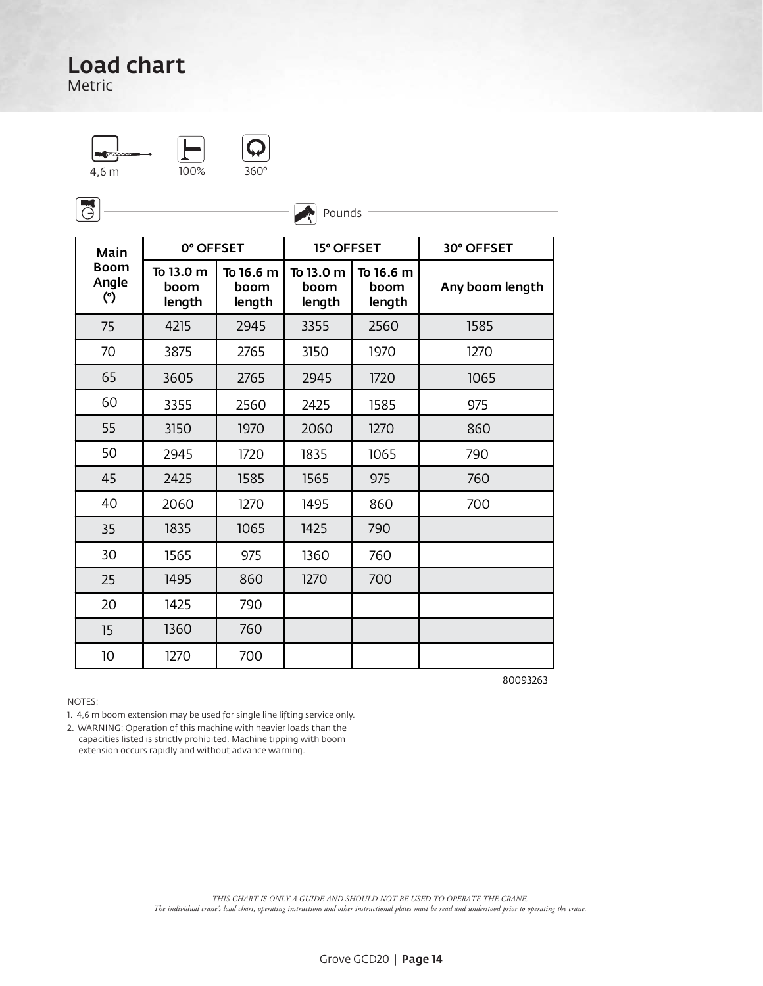Metric

4,6 m 100% 360°  $\overline{200\%}$   $\overline{360\degree}$ 



 $\sqrt{3}$ 

|                             |                             |                             | ىت                          |                             |                 |
|-----------------------------|-----------------------------|-----------------------------|-----------------------------|-----------------------------|-----------------|
| Main                        | 0° OFFSET                   |                             | 15° OFFSET                  |                             | 30° OFFSET      |
| <b>Boom</b><br>Angle<br>(°) | To 13.0 m<br>boom<br>length | To 16.6 m<br>boom<br>length | To 13.0 m<br>boom<br>length | To 16.6 m<br>boom<br>length | Any boom length |
| 75                          | 4215                        | 2945                        | 3355                        | 2560                        | 1585            |
| 70                          | 3875                        | 2765                        | 3150                        | 1970                        | 1270            |
| 65                          | 3605                        | 2765                        | 2945                        | 1720                        | 1065            |
| 60                          | 3355                        | 2560                        | 2425                        | 1585                        | 975             |
| 55                          | 3150                        | 1970                        | 2060                        | 1270                        | 860             |
| 50                          | 2945                        | 1720                        | 1835                        | 1065                        | 790             |
| 45                          | 2425                        | 1585                        | 1565                        | 975                         | 760             |
| 40                          | 2060                        | 1270                        | 1495                        | 860                         | 700             |
| 35                          | 1835                        | 1065                        | 1425                        | 790                         |                 |
| 30                          | 1565                        | 975                         | 1360                        | 760                         |                 |
| 25                          | 1495                        | 860                         | 1270                        | 700                         |                 |
| 20                          | 1425                        | 790                         |                             |                             |                 |
| 15                          | 1360                        | 760                         |                             |                             |                 |
| 10                          | 1270                        | 700                         |                             |                             |                 |

**Pounds** 

NOTES:

1. 4,6 m boom extension may be used for single line lifting service only.

2. WARNING: Operation of this machine with heavier loads than the capacities listed is strictly prohibited. Machine tipping with boom extension occurs rapidly and without advance warning.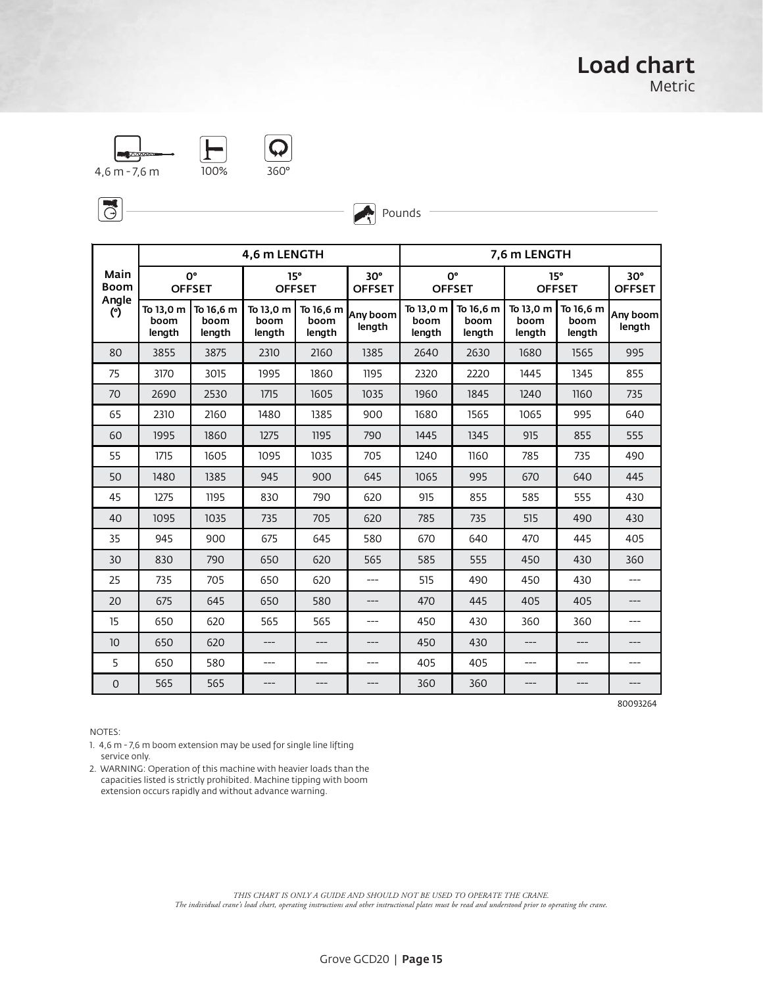



 $\overline{\mathbb{G}}$ 



Pounds

|                     | 4,6 m LENGTH                |                             |                             |                             |                             |                             |                             | 7,6 m LENGTH                |                             |                               |
|---------------------|-----------------------------|-----------------------------|-----------------------------|-----------------------------|-----------------------------|-----------------------------|-----------------------------|-----------------------------|-----------------------------|-------------------------------|
| Main<br><b>Boom</b> |                             | 0°<br><b>OFFSET</b>         |                             | 15°<br><b>OFFSET</b>        | $30^\circ$<br><b>OFFSET</b> |                             | 0°<br><b>OFFSET</b>         |                             | 15°<br><b>OFFSET</b>        | $30^{\circ}$<br><b>OFFSET</b> |
| Angle<br>(°)        | To 13,0 m<br>boom<br>length | To 16,6 m<br>boom<br>length | To 13,0 m<br>boom<br>length | To 16,6 m<br>boom<br>length | Any boom<br>length          | To 13,0 m<br>boom<br>length | To 16,6 m<br>boom<br>length | To 13,0 m<br>boom<br>length | To 16,6 m<br>boom<br>length | Any boom<br>length            |
| 80                  | 3855                        | 3875                        | 2310                        | 2160                        | 1385                        | 2640                        | 2630                        | 1680                        | 1565                        | 995                           |
| 75                  | 3170                        | 3015                        | 1995                        | 1860                        | 1195                        | 2320                        | 2220                        | 1445                        | 1345                        | 855                           |
| 70                  | 2690                        | 2530                        | 1715                        | 1605                        | 1035                        | 1960                        | 1845                        | 1240                        | 1160                        | 735                           |
| 65                  | 2310                        | 2160                        | 1480                        | 1385                        | 900                         | 1680                        | 1565                        | 1065                        | 995                         | 640                           |
| 60                  | 1995                        | 1860                        | 1275                        | 1195                        | 790                         | 1445                        | 1345                        | 915                         | 855                         | 555                           |
| 55                  | 1715                        | 1605                        | 1095                        | 1035                        | 705                         | 1240                        | 1160                        | 785                         | 735                         | 490                           |
| 50                  | 1480                        | 1385                        | 945                         | 900                         | 645                         | 1065                        | 995                         | 670                         | 640                         | 445                           |
| 45                  | 1275                        | 1195                        | 830                         | 790                         | 620                         | 915                         | 855                         | 585                         | 555                         | 430                           |
| 40                  | 1095                        | 1035                        | 735                         | 705                         | 620                         | 785                         | 735                         | 515                         | 490                         | 430                           |
| 35                  | 945                         | 900                         | 675                         | 645                         | 580                         | 670                         | 640                         | 470                         | 445                         | 405                           |
| 30                  | 830                         | 790                         | 650                         | 620                         | 565                         | 585                         | 555                         | 450                         | 430                         | 360                           |
| 25                  | 735                         | 705                         | 650                         | 620                         | ---                         | 515                         | 490                         | 450                         | 430                         | $---$                         |
| 20                  | 675                         | 645                         | 650                         | 580                         | ---                         | 470                         | 445                         | 405                         | 405                         | ---                           |
| 15                  | 650                         | 620                         | 565                         | 565                         | ---                         | 450                         | 430                         | 360                         | 360                         | ---                           |
| 10                  | 650                         | 620                         | ---                         | ---                         | ---                         | 450                         | 430                         | $---$                       | $---$                       |                               |
| 5                   | 650                         | 580                         | ---                         | ---                         | ---                         | 405                         | 405                         | $---$                       | ---                         | ---                           |
| $\overline{0}$      | 565                         | 565                         | ---                         | ---                         |                             | 360                         | 360                         | ---                         | ---                         | ---                           |

80093264

NOTES:

1. 4,6 m - 7,6 m boom extension may be used for single line lifting service only.

2. WARNING: Operation of this machine with heavier loads than the capacities listed is strictly prohibited. Machine tipping with boom extension occurs rapidly and without advance warning.